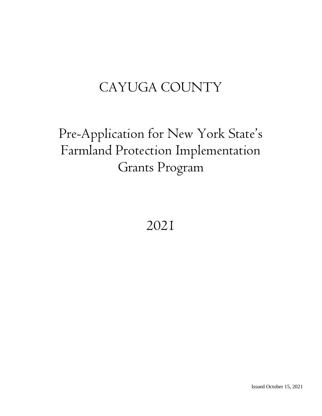# CAYUGA COUNTY

# Pre-Application for New York State's Farmland Protection Implementation Grants Program

2021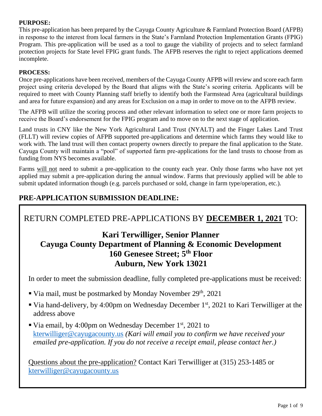### **PURPOSE:**

This pre-application has been prepared by the Cayuga County Agriculture & Farmland Protection Board (AFPB) in response to the interest from local farmers in the State's Farmland Protection Implementation Grants (FPIG) Program. This pre-application will be used as a tool to gauge the viability of projects and to select farmland protection projects for State level FPIG grant funds. The AFPB reserves the right to reject applications deemed incomplete.

### **PROCESS:**

Once pre-applications have been received, members of the Cayuga County AFPB will review and score each farm project using criteria developed by the Board that aligns with the State's scoring criteria. Applicants will be required to meet with County Planning staff briefly to identify both the Farmstead Area (agricultural buildings and area for future expansion) and any areas for Exclusion on a map in order to move on to the AFPB review.

The AFPB will utilize the scoring process and other relevant information to select one or more farm projects to receive the Board's endorsement for the FPIG program and to move on to the next stage of application.

Land trusts in CNY like the New York Agricultural Land Trust (NYALT) and the Finger Lakes Land Trust (FLLT) will review copies of AFPB supported pre-applications and determine which farms they would like to work with. The land trust will then contact property owners directly to prepare the final application to the State. Cayuga County will maintain a "pool" of supported farm pre-applications for the land trusts to choose from as funding from NYS becomes available.

Farms will not need to submit a pre-application to the county each year. Only those farms who have not yet applied may submit a pre-application during the annual window. Farms that previously applied will be able to submit updated information though (e.g. parcels purchased or sold, change in farm type/operation, etc.).

## **PRE-APPLICATION SUBMISSION DEADLINE:**

# RETURN COMPLETED PRE-APPLICATIONS BY **DECEMBER 1, 2021** TO:

## **Kari Terwilliger, Senior Planner Cayuga County Department of Planning & Economic Development 160 Genesee Street; 5th Floor Auburn, New York 13021**

In order to meet the submission deadline, fully completed pre-applications must be received:

- Via mail, must be postmarked by Monday November  $29<sup>th</sup>$ , 2021
- Via hand-delivery, by 4:00pm on Wednesday December 1<sup>st</sup>, 2021 to Kari Terwilliger at the address above
- Via email, by 4:00pm on Wednesday December  $1<sup>st</sup>$ , 2021 to kterwilliger@cayugacounty.us *(Kari will email you to confirm we have received your emailed pre-application. If you do not receive a receipt email, please contact her.)*

Questions about the pre-application? Contact Kari Terwilliger at (315) 253-1485 or kterwilliger@cayugacounty.us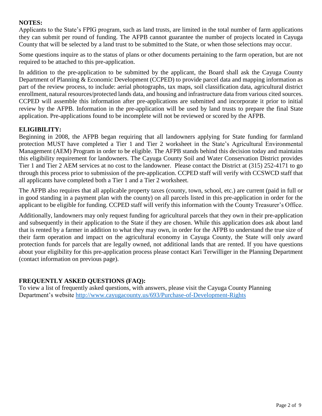#### **NOTES:**

Applicants to the State's FPIG program, such as land trusts, are limited in the total number of farm applications they can submit per round of funding. The AFPB cannot guarantee the number of projects located in Cayuga County that will be selected by a land trust to be submitted to the State, or when those selections may occur.

Some questions inquire as to the status of plans or other documents pertaining to the farm operation, but are not required to be attached to this pre-application.

In addition to the pre-application to be submitted by the applicant, the Board shall ask the Cayuga County Department of Planning & Economic Development (CCPED) to provide parcel data and mapping information as part of the review process, to include: aerial photographs, tax maps, soil classification data, agricultural district enrollment, natural resources/protected lands data, and housing and infrastructure data from various cited sources. CCPED will assemble this information after pre-applications are submitted and incorporate it prior to initial review by the AFPB. Information in the pre-application will be used by land trusts to prepare the final State application. Pre-applications found to be incomplete will not be reviewed or scored by the AFPB.

### **ELIGIBILITY:**

Beginning in 2008, the AFPB began requiring that all landowners applying for State funding for farmland protection MUST have completed a Tier 1 and Tier 2 worksheet in the State's Agricultural Environmental Management (AEM) Program in order to be eligible. The AFPB stands behind this decision today and maintains this eligibility requirement for landowners. The Cayuga County Soil and Water Conservation District provides Tier 1 and Tier 2 AEM services at no cost to the landowner. Please contact the District at (315) 252-4171 to go through this process prior to submission of the pre-application. CCPED staff will verify with CCSWCD staff that all applicants have completed both a Tier 1 and a Tier 2 worksheet.

The AFPB also requires that all applicable property taxes (county, town, school, etc.) are current (paid in full or in good standing in a payment plan with the county) on all parcels listed in this pre-application in order for the applicant to be eligible for funding. CCPED staff will verify this information with the County Treasurer's Office.

Additionally, landowners may only request funding for agricultural parcels that they own in their pre-application and subsequently in their application to the State if they are chosen. While this application does ask about land that is rented by a farmer in addition to what they may own, in order for the AFPB to understand the true size of their farm operation and impact on the agricultural economy in Cayuga County, the State will only award protection funds for parcels that are legally owned, not additional lands that are rented. If you have questions about your eligibility for this pre-application process please contact Kari Terwilliger in the Planning Department (contact information on previous page).

#### **FREQUENTLY ASKED QUESTIONS (FAQ):**

To view a list of frequently asked questions, with answers, please visit the Cayuga County Planning Department's website http://www.cayugacounty.us/693/Purchase-of-Development-Rights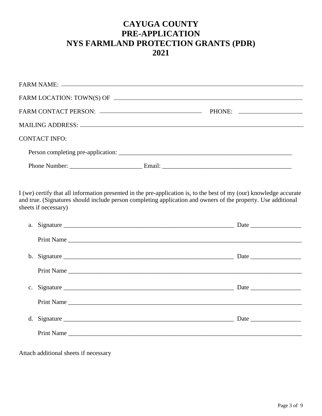## **CAYUGA COUNTY PRE-APPLICATION NYS FARMLAND PROTECTION GRANTS (PDR) 2021**

|                      | PHONE: |  |
|----------------------|--------|--|
|                      |        |  |
| <b>CONTACT INFO:</b> |        |  |
|                      |        |  |
|                      |        |  |
|                      |        |  |

I (we) certify that all information presented in the pre-application is, to the best of my (our) knowledge accurate and true. (Signatures should include person completing application and owners of the property. Use additional sheets if necessary)

| a. Signature |  |
|--------------|--|
|              |  |
|              |  |
|              |  |
|              |  |
|              |  |
|              |  |
|              |  |
|              |  |

Attach additional sheets if necessary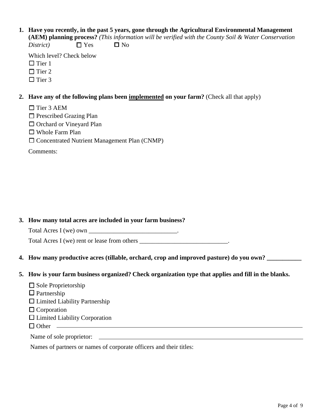**1. Have you recently, in the past 5 years, gone through the Agricultural Environmental Management (AEM) planning process?** *(This information will be verified with the County Soil & Water Conservation*

 $District$   $\square$  Yes  $\square$  No

Which level? Check below  $\Box$  Tier 1

□ Tier 2

 $\Box$  Tier 3

#### **2. Have any of the following plans been implemented on your farm?** (Check all that apply)

- □ Tier 3 AEM
- □ Prescribed Grazing Plan
- □ Orchard or Vineyard Plan
- ☐ Whole Farm Plan
- ☐ Concentrated Nutrient Management Plan (CNMP)

Comments:

#### **3. How many total acres are included in your farm business?**

Total Acres I (we) own \_\_\_\_\_\_\_\_\_\_\_\_\_\_\_\_\_\_\_\_\_\_\_\_\_\_\_\_\_\_.

Total Acres I (we) rent or lease from others \_\_\_\_\_\_\_\_\_\_\_\_\_\_\_\_\_\_\_\_\_\_\_\_\_\_\_\_.

**4. How many productive acres (tillable, orchard, crop and improved pasture) do you own? \_\_\_\_\_\_\_\_\_\_\_**

#### **5. How is your farm business organized? Check organization type that applies and fill in the blanks.**

- ☐ Sole Proprietorship
- $\Box$  Partnership
- $\Box$  Limited Liability Partnership
- □ Corporation
- $\Box$  Limited Liability Corporation
- $\Box$  Other  $\Box$

#### Name of sole proprietor:

Names of partners or names of corporate officers and their titles: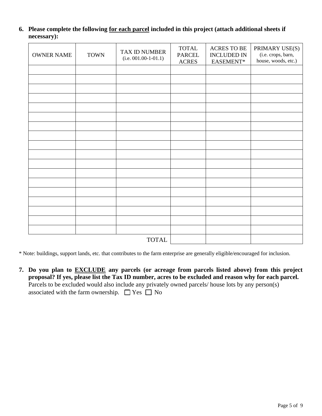**6. Please complete the following for each parcel included in this project (attach additional sheets if necessary):**

| <b>OWNER NAME</b> | <b>TOWN</b> | TAX ID NUMBER<br>$(i.e. 001.00-1-01.1)$ | <b>TOTAL</b><br>PARCEL<br><b>ACRES</b> | <b>ACRES TO BE</b><br><b>INCLUDED IN</b><br>EASEMENT* | PRIMARY USE(S)<br>(i.e. crops, barn,<br>house, woods, etc.) |
|-------------------|-------------|-----------------------------------------|----------------------------------------|-------------------------------------------------------|-------------------------------------------------------------|
|                   |             |                                         |                                        |                                                       |                                                             |
|                   |             |                                         |                                        |                                                       |                                                             |
|                   |             |                                         |                                        |                                                       |                                                             |
|                   |             |                                         |                                        |                                                       |                                                             |
|                   |             |                                         |                                        |                                                       |                                                             |
|                   |             |                                         |                                        |                                                       |                                                             |
|                   |             |                                         |                                        |                                                       |                                                             |
|                   |             |                                         |                                        |                                                       |                                                             |
|                   |             |                                         |                                        |                                                       |                                                             |
|                   |             |                                         |                                        |                                                       |                                                             |
|                   |             |                                         |                                        |                                                       |                                                             |
|                   |             |                                         |                                        |                                                       |                                                             |
|                   |             |                                         |                                        |                                                       |                                                             |
|                   |             |                                         |                                        |                                                       |                                                             |
|                   |             |                                         |                                        |                                                       |                                                             |
|                   |             |                                         |                                        |                                                       |                                                             |
|                   |             |                                         |                                        |                                                       |                                                             |
|                   |             |                                         |                                        |                                                       |                                                             |
|                   |             | <b>TOTAL</b>                            |                                        |                                                       |                                                             |

\* Note: buildings, support lands, etc. that contributes to the farm enterprise are generally eligible/encouraged for inclusion.

**7. Do you plan to EXCLUDE any parcels (or acreage from parcels listed above) from this project proposal? If yes, please list the Tax ID number, acres to be excluded and reason why for each parcel.** Parcels to be excluded would also include any privately owned parcels/ house lots by any person(s) associated with the farm ownership.  $\Box$  Yes  $\Box$  No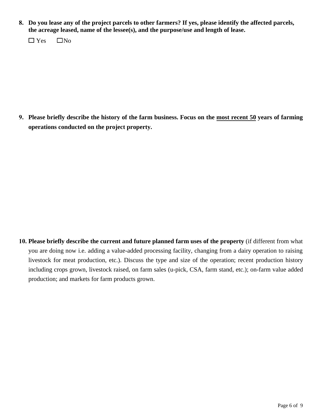**8. Do you lease any of the project parcels to other farmers? If yes, please identify the affected parcels, the acreage leased, name of the lessee(s), and the purpose/use and length of lease.**

 $\Box$  Yes  $\Box$  No

**9. Please briefly describe the history of the farm business. Focus on the most recent 50 years of farming operations conducted on the project property.**

**10. Please briefly describe the current and future planned farm uses of the property** (if different from what you are doing now i.e. adding a value-added processing facility, changing from a dairy operation to raising livestock for meat production, etc.). Discuss the type and size of the operation; recent production history including crops grown, livestock raised, on farm sales (u-pick, CSA, farm stand, etc.); on-farm value added production; and markets for farm products grown.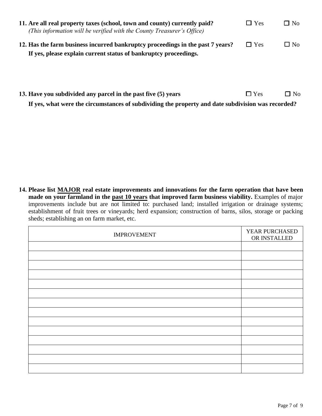| 11. Are all real property taxes (school, town and county) currently paid?<br>(This information will be verified with the County Treasurer's Office) | $\Box$ Yes | $\Box$ No |
|-----------------------------------------------------------------------------------------------------------------------------------------------------|------------|-----------|
| 12. Has the farm business incurred bankruptcy proceedings in the past 7 years?<br>If yes, please explain current status of bankruptcy proceedings.  | $\Box$ Yes | $\Box$ No |

**13. Have you subdivided any parcel in the past five (5) years** □ Yes □ No **If yes, what were the circumstances of subdividing the property and date subdivision was recorded?**

**14. Please list MAJOR real estate improvements and innovations for the farm operation that have been made on your farmland in the past 10 years that improved farm business viability.** Examples of major improvements include but are not limited to: purchased land; installed irrigation or drainage systems; establishment of fruit trees or vineyards; herd expansion; construction of barns, silos, storage or packing sheds; establishing an on farm market, etc.

| <b>IMPROVEMENT</b> | YEAR PURCHASED<br>OR INSTALLED |
|--------------------|--------------------------------|
|                    |                                |
|                    |                                |
|                    |                                |
|                    |                                |
|                    |                                |
|                    |                                |
|                    |                                |
|                    |                                |
|                    |                                |
|                    |                                |
|                    |                                |
|                    |                                |
|                    |                                |
|                    |                                |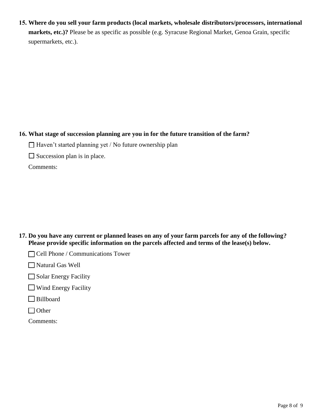**15. Where do you sell your farm products (local markets, wholesale distributors/processors, international markets, etc.)?** Please be as specific as possible (e.g. Syracuse Regional Market, Genoa Grain, specific supermarkets, etc.).

## **16. What stage of succession planning are you in for the future transition of the farm?**

 $\Box$  Haven't started planning yet / No future ownership plan

 $\Box$  Succession plan is in place.

Comments:

**17. Do you have any current or planned leases on any of your farm parcels for any of the following? Please provide specific information on the parcels affected and terms of the lease(s) below.**

□ Cell Phone / Communications Tower

☐ Natural Gas Well

 $\Box$  Solar Energy Facility

☐ Wind Energy Facility

□ Billboard

□ Other

Comments: